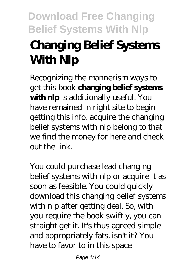# **Changing Belief Systems With Nlp**

Recognizing the mannerism ways to get this book **changing belief systems with nlp** is additionally useful. You have remained in right site to begin getting this info. acquire the changing belief systems with nlp belong to that we find the money for here and check out the link.

You could purchase lead changing belief systems with nlp or acquire it as soon as feasible. You could quickly download this changing belief systems with nlp after getting deal. So, with you require the book swiftly, you can straight get it. It's thus agreed simple and appropriately fats, isn't it? You have to favor to in this space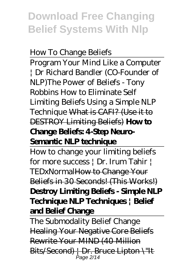#### *How To Change Beliefs*

Program Your Mind Like a Computer | Dr Richard Bandler (CO-Founder of NLP)*The Power of Beliefs - Tony Robbins How to Eliminate Self Limiting Beliefs Using a Simple NLP Technique* What is CAFI? (Use it to DESTROY Limiting Beliefs) **How to Change Beliefs: 4-Step Neuro-Semantic NLP technique**

How to change your limiting beliefs for more success | Dr. Irum Tahir | TEDxNormalHow to Change Your Beliefs in 30 Seconds! (This Works!) **Destroy Limiting Beliefs - Simple NLP Technique NLP Techniques | Belief and Belief Change**

The Submodality Belief Change Healing Your Negative Core Beliefs Rewrite Your MIND (40 Million Bits/Second) | Dr. Bruce Lipton \"It Page 2/14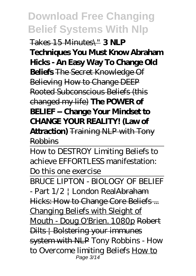Takes 15 Minutes\" **3 NLP Techniques You Must Know Abraham Hicks - An Easy Way To Change Old Beliefs** The Secret Knowledge Of Believing How to Change DEEP Rooted Subconscious Beliefs (this changed my life) **The POWER of BELIEF -- Change Your Mindset to CHANGE YOUR REALITY! (Law of Attraction)** Training NLP with Tony

Robbins

How to DESTROY Limiting Beliefs to achieve EFFORTLESS manifestation: Do this one exercise

BRUCE LIPTON - BIOLOGY OF BELIEF

- Part 1/2 | London RealAbraham Hicks: How to Change Core Beliefs... Changing Beliefs with Sleight of Mouth - Doug O'Brien. 1080p Robert Dilts | Bolstering your immunes system with NLP *Tony Robbins - How to Overcome limiting Beliefs* How to Page 3/14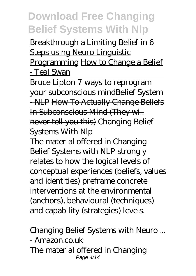Breakthrough a Limiting Belief in 6 Steps using Neuro Linguistic Programming How to Change a Belief - Teal Swan

Bruce Lipton 7 ways to reprogram your subconscious mindBelief System - NLP How To Actually Change Beliefs In Subconscious Mind (They will never tell you this) Changing Belief Systems With Nlp

The material offered in Changing Belief Systems with NLP strongly relates to how the logical levels of conceptual experiences (beliefs, values and identities) preframe concrete interventions at the environmental (anchors), behavioural (techniques) and capability (strategies) levels.

Changing Belief Systems with Neuro ... - Amazon.co.uk The material offered in Changing Page 4/14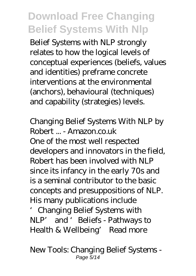Belief Systems with NLP strongly relates to how the logical levels of conceptual experiences (beliefs, values and identities) preframe concrete interventions at the environmental (anchors), behavioural (techniques) and capability (strategies) levels.

Changing Belief Systems With NLP by Robert ... - Amazon.co.uk One of the most well respected developers and innovators in the field, Robert has been involved with NLP since its infancy in the early 70s and is a seminal contributor to the basic concepts and presuppositions of NLP. His many publications include 'Changing Belief Systems with NLP' and 'Beliefs - Pathways to

Health & Wellbeing' Read more

New Tools: Changing Belief Systems - Page 5/14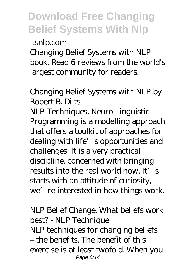itsnlp.com

Changing Belief Systems with NLP book. Read 6 reviews from the world's largest community for readers.

Changing Belief Systems with NLP by Robert B. Dilts

NLP Techniques. Neuro Linguistic Programming is a modelling approach that offers a toolkit of approaches for dealing with life's opportunities and challenges. It is a very practical discipline, concerned with bringing results into the real world now. It's starts with an attitude of curiosity, we're interested in how things work.

NLP Belief Change. What beliefs work best? - NLP Technique NLP techniques for changing beliefs – the benefits. The benefit of this exercise is at least twofold. When you Page 6/14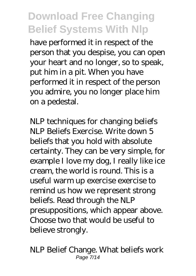have performed it in respect of the person that you despise, you can open your heart and no longer, so to speak, put him in a pit. When you have performed it in respect of the person you admire, you no longer place him on a pedestal.

NLP techniques for changing beliefs NLP Beliefs Exercise. Write down 5 beliefs that you hold with absolute certainty. They can be very simple, for example I love my dog, I really like ice cream, the world is round. This is a useful warm up exercise exercise to remind us how we represent strong beliefs. Read through the NLP presuppositions, which appear above. Choose two that would be useful to believe strongly.

NLP Belief Change. What beliefs work Page 7/14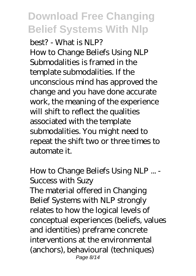best? - What is NLP? How to Change Beliefs Using NLP Submodalities is framed in the template submodalities. If the unconscious mind has approved the change and you have done accurate work, the meaning of the experience will shift to reflect the qualities associated with the template submodalities. You might need to repeat the shift two or three times to automate it.

How to Change Beliefs Using NLP ... - Success with Suzy The material offered in Changing Belief Systems with NLP strongly relates to how the logical levels of conceptual experiences (beliefs, values and identities) preframe concrete interventions at the environmental (anchors), behavioural (techniques) Page 8/14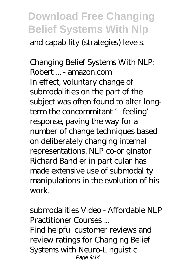and capability (strategies) levels.

Changing Belief Systems With NLP: Robert ... - amazon.com In effect, voluntary change of submodalities on the part of the subject was often found to alter longterm the concommitant 'feeling' response, paving the way for a number of change techniques based on deliberately changing internal representations. NLP co-originator Richard Bandler in particular has made extensive use of submodality manipulations in the evolution of his work.

submodalities Video - Affordable NLP Practitioner Courses ... Find helpful customer reviews and review ratings for Changing Belief Systems with Neuro-Linguistic Page 9/14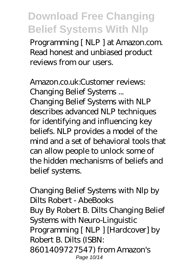Programming [ NLP ] at Amazon.com. Read honest and unbiased product reviews from our users.

Amazon.co.uk:Customer reviews: Changing Belief Systems ... Changing Belief Systems with NLP describes advanced NLP techniques for identifying and influencing key beliefs. NLP provides a model of the mind and a set of behavioral tools that can allow people to unlock some of the hidden mechanisms of beliefs and belief systems.

Changing Belief Systems with Nlp by Dilts Robert - AbeBooks Buy By Robert B. Dilts Changing Belief Systems with Neuro-Linguistic Programming [ NLP ] [Hardcover] by Robert B. Dilts (ISBN: 8601409727547) from Amazon's Page 10/14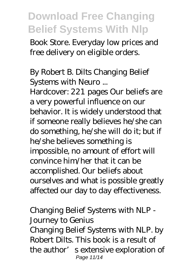Book Store. Everyday low prices and free delivery on eligible orders.

By Robert B. Dilts Changing Belief Systems with Neuro ...

Hardcover: 221 pages Our beliefs are a very powerful influence on our behavior. It is widely understood that if someone really believes he/she can do something, he/she will do it; but if he/she believes something is impossible, no amount of effort will convince him/her that it can be accomplished. Our beliefs about ourselves and what is possible greatly affected our day to day effectiveness.

Changing Belief Systems with NLP - Journey to Genius Changing Belief Systems with NLP. by Robert Dilts. This book is a result of the author's extensive exploration of Page 11/14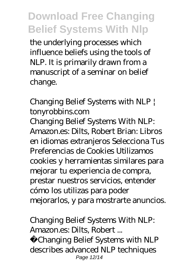the underlying processes which influence beliefs using the tools of NLP. It is primarily drawn from a manuscript of a seminar on belief change.

Changing Belief Systems with NLP | tonyrobbins.com

Changing Belief Systems With NLP: Amazon.es: Dilts, Robert Brian: Libros en idiomas extranjeros Selecciona Tus Preferencias de Cookies Utilizamos cookies y herramientas similares para mejorar tu experiencia de compra, prestar nuestros servicios, entender cómo los utilizas para poder mejorarlos, y para mostrarte anuncios.

Changing Belief Systems With NLP: Amazon.es: Dilts, Robert ...

Changing Belief Systems with NLP describes advanced NLP techniques Page 12/14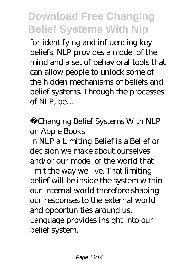for identifying and influencing key beliefs. NLP provides a model of the mind and a set of behavioral tools that can allow people to unlock some of the hidden mechanisms of beliefs and belief systems. Through the processes of NLP, be…

Changing Belief Systems With NLP on Apple Books

In NLP a Limiting Belief is a Belief or decision we make about ourselves and/or our model of the world that limit the way we live. That limiting belief will be inside the system within our internal world therefore shaping our responses to the external world and opportunities around us. Language provides insight into our belief system.